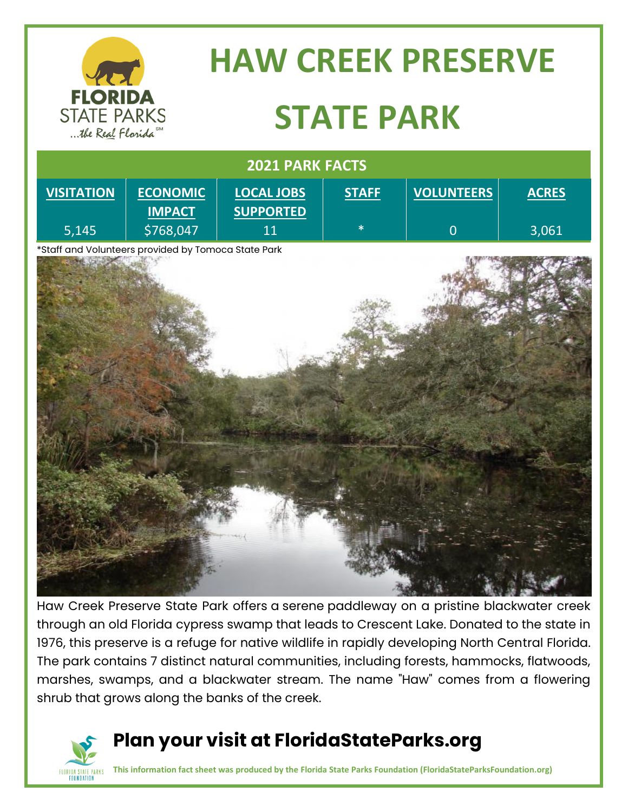

# **HAW CREEK PRESERVE STATE PARK**

| 2021 PARK FACTS                                     |                                  |                                       |              |                   |              |
|-----------------------------------------------------|----------------------------------|---------------------------------------|--------------|-------------------|--------------|
| <b>VISITATION</b>                                   | <b>ECONOMIC</b><br><b>IMPACT</b> | <b>LOCAL JOBS</b><br><b>SUPPORTED</b> | <b>STAFF</b> | <b>VOLUNTEERS</b> | <b>ACRES</b> |
| 5,145                                               | \$768,047                        | 11                                    | $\ast$       | $\mathbf{0}$      | 3,061        |
| *Staff and Volunteers provided by Tomoca State Park |                                  |                                       |              |                   |              |
|                                                     |                                  |                                       |              |                   |              |
|                                                     |                                  |                                       |              |                   |              |
|                                                     |                                  |                                       |              |                   |              |
|                                                     |                                  |                                       |              |                   |              |
|                                                     |                                  |                                       |              |                   |              |
|                                                     |                                  |                                       |              |                   |              |
|                                                     |                                  |                                       |              |                   |              |
|                                                     |                                  |                                       |              |                   |              |
|                                                     |                                  |                                       |              |                   |              |

Haw Creek Preserve State Park offers a serene paddleway on a pristine blackwater creek through an old Florida cypress swamp that leads to Crescent Lake. Donated to the state in 1976, this preserve is a refuge for native wildlife in rapidly developing North Central Florida. The park contains 7 distinct natural communities, including forests, hammocks, flatwoods, marshes, swamps, and a blackwater stream. The name "Haw" comes from a flowering shrub that grows along the banks of the creek.



#### **Plan your visit at FloridaStateParks.org**

**This information fact sheet was produced by the Florida State Parks Foundation (FloridaStateParksFoundation.org)**